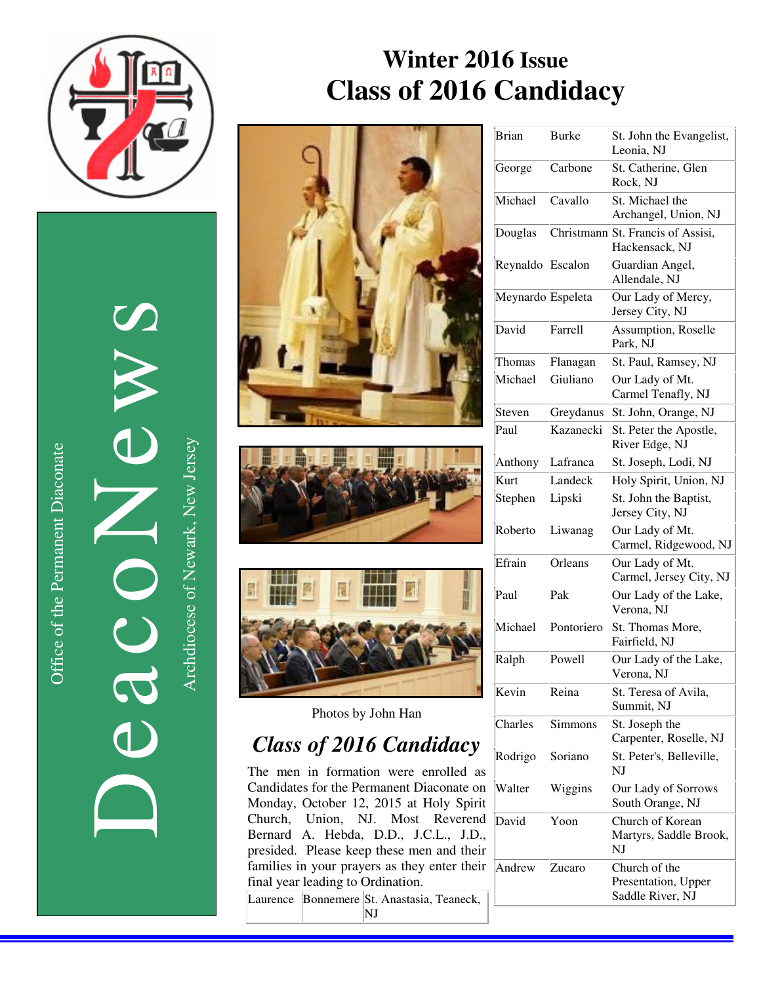

Office of the Permanent Diaconate Office of the Permanent Diaconate

DeacoNews News Nuevon Company Archdiocese of Newark, New Jersey Archdiocese of Newark, New Jersey  $\overline{d}$ 

 $\overline{\mathbf{d}}$ 









Photos by John Han

# *Class of 2016 Candidacy*

The men in formation were enrolled as Candidates for the Permanent Diaconate on  $\bar{N}$ Monday, October 12, 2015 at Holy Spirit Church, Union, NJ. Most Reverend  $\overline{D}$ Bernard A. Hebda, D.D., J.C.L., J.D., presided. Please keep these men and their families in your prayers as they enter their  $\sqrt{ }$ final year leading to Ordination.

Laurence Bonnemere St. Anastasia, Teaneck,

| Brian             | <b>Burke</b> | St. John the Evangelist,<br>Leonia, NJ                   |
|-------------------|--------------|----------------------------------------------------------|
| George            | Carbone      | St. Catherine, Glen<br>Rock, NJ                          |
| Michael           | Cavallo      | St. Michael the<br>Archangel, Union, NJ                  |
| Douglas           |              | Christmann St. Francis of Assisi,<br>Hackensack, NJ      |
| Reynaldo          | Escalon      | Guardian Angel,<br>Allendale, NJ                         |
| Meynardo Espeleta |              | Our Lady of Mercy,<br>Jersey City, NJ                    |
| David             | Farrell      | Assumption, Roselle<br>Park, NJ                          |
| Thomas            | Flanagan     | St. Paul, Ramsey, NJ                                     |
| Michael           | Giuliano     | Our Lady of Mt.<br>Carmel Tenafly, NJ                    |
| Steven            | Greydanus    | St. John, Orange, NJ                                     |
| Paul              | Kazanecki    | St. Peter the Apostle,<br>River Edge, NJ                 |
| Anthony           | Lafranca     | St. Joseph, Lodi, NJ                                     |
| Kurt              | Landeck      | Holy Spirit, Union, NJ                                   |
| Stephen           | Lipski       | St. John the Baptist,<br>Jersey City, NJ                 |
| Roberto           | Liwanag      | Our Lady of Mt.<br>Carmel, Ridgewood, NJ                 |
| Efrain            | Orleans      | Our Lady of Mt.<br>Carmel, Jersey City, NJ               |
| Paul              | Pak          | Our Lady of the Lake,<br>Verona, NJ                      |
| Michael           | Pontoriero   | St. Thomas More,<br>Fairfield, NJ                        |
| Ralph             | Powell       | Our Lady of the Lake,<br>Verona, NJ                      |
| Kevin             | Reina        | St. Teresa of Avila,<br>Summit, NJ                       |
| Charles           | Simmons      | St. Joseph the<br>Carpenter, Roselle, NJ                 |
| Rodrigo           | Soriano      | St. Peter's, Belleville,<br>NI                           |
| Walter            | Wiggins      | Our Lady of Sorrows<br>South Orange, NJ                  |
| David             | Yoon         | Church of Korean<br>Martyrs, Saddle Brook,<br>NJ         |
| Andrew            | Zucaro       | Church of the<br>Presentation, Upper<br>Saddle River, NJ |

NJ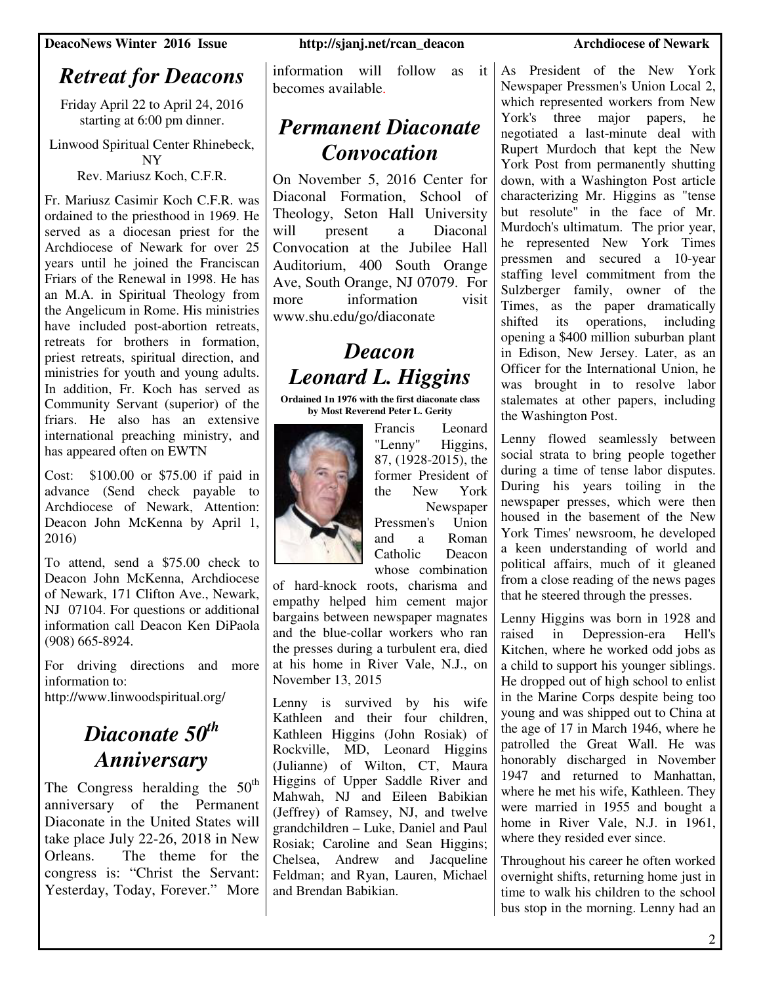# *Retreat for Deacons*

Friday April 22 to April 24, 2016 starting at 6:00 pm dinner.

Linwood Spiritual Center Rhinebeck, NY Rev. Mariusz Koch, C.F.R.

Fr. Mariusz Casimir Koch C.F.R. was ordained to the priesthood in 1969. He served as a diocesan priest for the Archdiocese of Newark for over 25 years until he joined the Franciscan Friars of the Renewal in 1998. He has an M.A. in Spiritual Theology from the Angelicum in Rome. His ministries have included post-abortion retreats, retreats for brothers in formation, priest retreats, spiritual direction, and ministries for youth and young adults. In addition, Fr. Koch has served as Community Servant (superior) of the friars. He also has an extensive international preaching ministry, and has appeared often on EWTN

Cost: \$100.00 or \$75.00 if paid in advance (Send check payable to Archdiocese of Newark, Attention: Deacon John McKenna by April 1, 2016)

To attend, send a \$75.00 check to Deacon John McKenna, Archdiocese of Newark, 171 Clifton Ave., Newark, NJ 07104. For questions or additional information call Deacon Ken DiPaola (908) 665-8924.

For driving directions and more information to:

http://www.linwoodspiritual.org/

## *Diaconate 50th Anniversary*

The Congress heralding the  $50<sup>th</sup>$ anniversary of the Permanent Diaconate in the United States will take place July 22-26, 2018 in New Orleans. The theme for the congress is: "Christ the Servant: Yesterday, Today, Forever." More information will follow as it becomes available.

## *Permanent Diaconate Convocation*

On November 5, 2016 Center for Diaconal Formation, School of Theology, Seton Hall University will present a Diaconal Convocation at the Jubilee Hall Auditorium, 400 South Orange Ave, South Orange, NJ 07079. For more information visit www.shu.edu/go/diaconate

# *Deacon Leonard L. Higgins*

**Ordained 1n 1976 with the first diaconate class by Most Reverend Peter L. Gerity** 



Francis Leonard "Lenny" Higgins, 87, (1928-2015), the former President of the New York Newspaper

Pressmen's Union and a Roman Catholic Deacon whose combination

of hard-knock roots, charisma and empathy helped him cement major bargains between newspaper magnates and the blue-collar workers who ran the presses during a turbulent era, died at his home in River Vale, N.J., on November 13, 2015

Lenny is survived by his wife Kathleen and their four children, Kathleen Higgins (John Rosiak) of Rockville, MD, Leonard Higgins (Julianne) of Wilton, CT, Maura Higgins of Upper Saddle River and Mahwah, NJ and Eileen Babikian (Jeffrey) of Ramsey, NJ, and twelve grandchildren – Luke, Daniel and Paul Rosiak; Caroline and Sean Higgins; Chelsea, Andrew and Jacqueline Feldman; and Ryan, Lauren, Michael and Brendan Babikian.

As President of the New York Newspaper Pressmen's Union Local 2, which represented workers from New York's three major papers, he negotiated a last-minute deal with Rupert Murdoch that kept the New York Post from permanently shutting down, with a Washington Post article characterizing Mr. Higgins as "tense but resolute" in the face of Mr. Murdoch's ultimatum. The prior year, he represented New York Times pressmen and secured a 10-year staffing level commitment from the Sulzberger family, owner of the Times, as the paper dramatically shifted its operations, including opening a \$400 million suburban plant in Edison, New Jersey. Later, as an Officer for the International Union, he was brought in to resolve labor stalemates at other papers, including the Washington Post.

Lenny flowed seamlessly between social strata to bring people together during a time of tense labor disputes. During his years toiling in the newspaper presses, which were then housed in the basement of the New York Times' newsroom, he developed a keen understanding of world and political affairs, much of it gleaned from a close reading of the news pages that he steered through the presses.

Lenny Higgins was born in 1928 and raised in Depression-era Hell's Kitchen, where he worked odd jobs as a child to support his younger siblings. He dropped out of high school to enlist in the Marine Corps despite being too young and was shipped out to China at the age of 17 in March 1946, where he patrolled the Great Wall. He was honorably discharged in November 1947 and returned to Manhattan, where he met his wife, Kathleen. They were married in 1955 and bought a home in River Vale, N.J. in 1961, where they resided ever since.

Throughout his career he often worked overnight shifts, returning home just in time to walk his children to the school bus stop in the morning. Lenny had an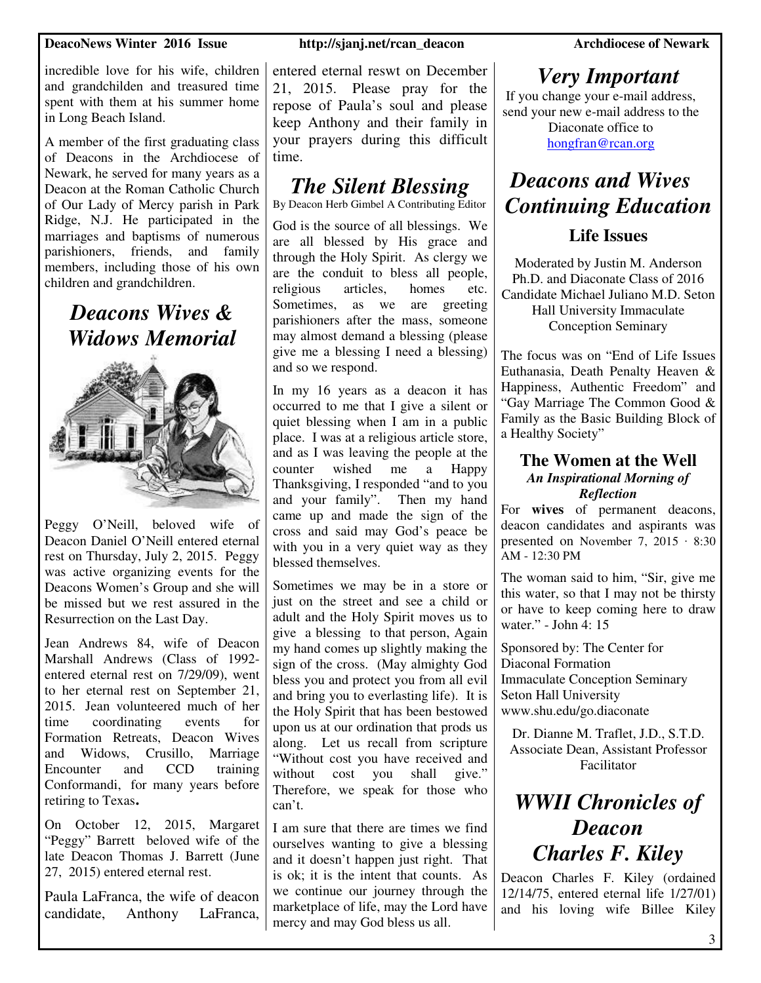### **DeacoNews Winter 2016 Issue http://sjanj.net/rcan\_deacon Archdiocese of Newark**

incredible love for his wife, children and grandchilden and treasured time spent with them at his summer home in Long Beach Island.

A member of the first graduating class of Deacons in the Archdiocese of Newark, he served for many years as a Deacon at the Roman Catholic Church of Our Lady of Mercy parish in Park Ridge, N.J. He participated in the marriages and baptisms of numerous parishioners, friends, and family members, including those of his own children and grandchildren.

> *Deacons Wives & Widows Memorial*



Peggy O'Neill, beloved wife of Deacon Daniel O'Neill entered eternal rest on Thursday, July 2, 2015. Peggy was active organizing events for the Deacons Women's Group and she will be missed but we rest assured in the Resurrection on the Last Day.

Jean Andrews 84, wife of Deacon Marshall Andrews (Class of 1992 entered eternal rest on 7/29/09), went to her eternal rest on September 21, 2015. Jean volunteered much of her time coordinating events for Formation Retreats, Deacon Wives and Widows, Crusillo, Marriage Encounter and CCD training Conformandi, for many years before retiring to Texas**.** 

On October 12, 2015, Margaret "Peggy" Barrett beloved wife of the late Deacon Thomas J. Barrett (June 27, 2015) entered eternal rest.

Paula LaFranca, the wife of deacon candidate, Anthony LaFranca,

entered eternal reswt on December 21, 2015. Please pray for the repose of Paula's soul and please keep Anthony and their family in your prayers during this difficult time.

## *The Silent Blessing*

By Deacon Herb Gimbel A Contributing Editor

God is the source of all blessings. We are all blessed by His grace and through the Holy Spirit. As clergy we are the conduit to bless all people, religious articles, homes etc. Sometimes, as we are greeting parishioners after the mass, someone may almost demand a blessing (please give me a blessing I need a blessing) and so we respond.

In my 16 years as a deacon it has occurred to me that I give a silent or quiet blessing when I am in a public place. I was at a religious article store, and as I was leaving the people at the counter wished me a Happy Thanksgiving, I responded "and to you and your family". Then my hand came up and made the sign of the cross and said may God's peace be with you in a very quiet way as they blessed themselves.

Sometimes we may be in a store or just on the street and see a child or adult and the Holy Spirit moves us to give a blessing to that person, Again my hand comes up slightly making the sign of the cross. (May almighty God bless you and protect you from all evil and bring you to everlasting life). It is the Holy Spirit that has been bestowed upon us at our ordination that prods us along. Let us recall from scripture "Without cost you have received and without cost you shall give." Therefore, we speak for those who can't.

I am sure that there are times we find ourselves wanting to give a blessing and it doesn't happen just right. That is ok; it is the intent that counts. As we continue our journey through the marketplace of life, may the Lord have mercy and may God bless us all.

## *Very Important*

If you change your e-mail address, send your new e-mail address to the

Diaconate office to hongfran@rcan.org

## *Deacons and Wives Continuing Education*

### **Life Issues**

Moderated by Justin M. Anderson Ph.D. and Diaconate Class of 2016 Candidate Michael Juliano M.D. Seton Hall University Immaculate Conception Seminary

The focus was on "End of Life Issues Euthanasia, Death Penalty Heaven & Happiness, Authentic Freedom" and "Gay Marriage The Common Good & Family as the Basic Building Block of a Healthy Society"

### **The Women at the Well**  *An Inspirational Morning of Reflection*

For **wives** of permanent deacons, deacon candidates and aspirants was presented on November 7, 2015 ∙ 8:30  $AM - 12:30 PM$ 

The woman said to him, "Sir, give me this water, so that I may not be thirsty or have to keep coming here to draw water." - John 4: 15

Sponsored by: The Center for Diaconal Formation Immaculate Conception Seminary Seton Hall University www.shu.edu/go.diaconate

Dr. Dianne M. Traflet, J.D., S.T.D. Associate Dean, Assistant Professor Facilitator

# *WWII Chronicles of Deacon Charles F. Kiley*

Deacon Charles F. Kiley (ordained 12/14/75, entered eternal life 1/27/01) and his loving wife Billee Kiley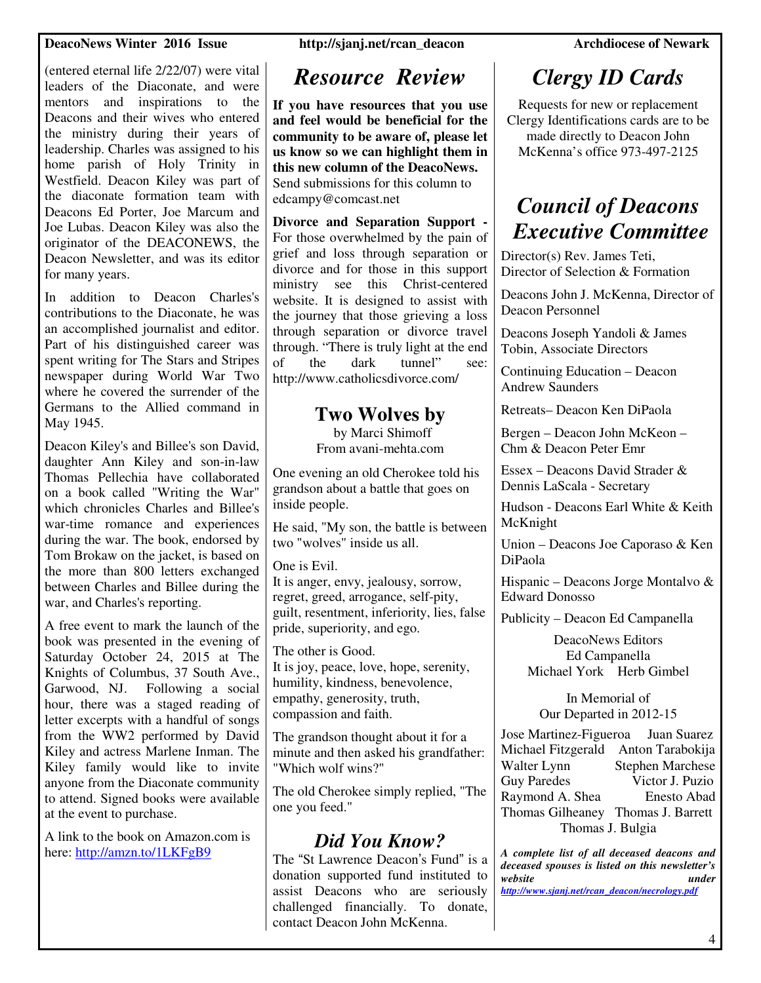### **DeacoNews Winter 2016 Issue http://sjanj.net/rcan\_deacon Archdiocese of Newark**

(entered eternal life 2/22/07) were vital leaders of the Diaconate, and were mentors and inspirations to the Deacons and their wives who entered the ministry during their years of leadership. Charles was assigned to his home parish of Holy Trinity in Westfield. Deacon Kiley was part of the diaconate formation team with Deacons Ed Porter, Joe Marcum and Joe Lubas. Deacon Kiley was also the originator of the DEACONEWS, the Deacon Newsletter, and was its editor for many years.

In addition to Deacon Charles's contributions to the Diaconate, he was an accomplished journalist and editor. Part of his distinguished career was spent writing for The Stars and Stripes newspaper during World War Two where he covered the surrender of the Germans to the Allied command in May 1945.

Deacon Kiley's and Billee's son David, daughter Ann Kiley and son-in-law Thomas Pellechia have collaborated on a book called "Writing the War" which chronicles Charles and Billee's war-time romance and experiences during the war. The book, endorsed by Tom Brokaw on the jacket, is based on the more than 800 letters exchanged between Charles and Billee during the war, and Charles's reporting.

A free event to mark the launch of the book was presented in the evening of Saturday October 24, 2015 at The Knights of Columbus, 37 South Ave., Garwood, NJ. Following a social hour, there was a staged reading of letter excerpts with a handful of songs from the WW2 performed by David Kiley and actress Marlene Inman. The Kiley family would like to invite anyone from the Diaconate community to attend. Signed books were available at the event to purchase.

A link to the book on Amazon.com is here: http://amzn.to/1LKFgB9

## *Resource Review*

**If you have resources that you use and feel would be beneficial for the community to be aware of, please let us know so we can highlight them in this new column of the DeacoNews.**  Send submissions for this column to edcampy@comcast.net

**Divorce and Separation Support -**  For those overwhelmed by the pain of grief and loss through separation or divorce and for those in this support ministry see this Christ-centered website. It is designed to assist with the journey that those grieving a loss through separation or divorce travel through. "There is truly light at the end of the dark tunnel" see: http://www.catholicsdivorce.com/

### **Two Wolves by**

by Marci Shimoff From avani-mehta.com

One evening an old Cherokee told his grandson about a battle that goes on inside people.

He said, "My son, the battle is between two "wolves" inside us all.

One is Evil.

It is anger, envy, jealousy, sorrow, regret, greed, arrogance, self-pity, guilt, resentment, inferiority, lies, false pride, superiority, and ego.

The other is Good. It is joy, peace, love, hope, serenity, humility, kindness, benevolence, empathy, generosity, truth, compassion and faith.

The grandson thought about it for a minute and then asked his grandfather: "Which wolf wins?"

The old Cherokee simply replied, "The one you feed."

## *Did You Know?*

The "St Lawrence Deacon's Fund" is a donation supported fund instituted to assist Deacons who are seriously challenged financially. To donate, contact Deacon John McKenna.

# *Clergy ID Cards*

Requests for new or replacement Clergy Identifications cards are to be made directly to Deacon John McKenna's office 973-497-2125

# *Council of Deacons Executive Committee*

Director(s) Rev. James Teti, Director of Selection & Formation

Deacons John J. McKenna, Director of Deacon Personnel

Deacons Joseph Yandoli & James Tobin, Associate Directors

Continuing Education – Deacon Andrew Saunders

Retreats– Deacon Ken DiPaola

Bergen – Deacon John McKeon – Chm & Deacon Peter Emr

Essex – Deacons David Strader & Dennis LaScala - Secretary

Hudson - Deacons Earl White & Keith McKnight

Union – Deacons Joe Caporaso & Ken DiPaola

Hispanic – Deacons Jorge Montalvo & Edward Donosso

Publicity – Deacon Ed Campanella

DeacoNews Editors Ed Campanella Michael York Herb Gimbel

In Memorial of Our Departed in 2012-15

Jose Martinez-Figueroa Juan Suarez Michael Fitzgerald Anton Tarabokija Walter Lynn Stephen Marchese Guy Paredes Victor J. Puzio Raymond A. Shea Enesto Abad Thomas Gilheaney Thomas J. Barrett Thomas J. Bulgia

*A complete list of all deceased deacons and deceased spouses is listed on this newsletter's website under http://www.sjanj.net/rcan\_deacon/necrology.pdf*